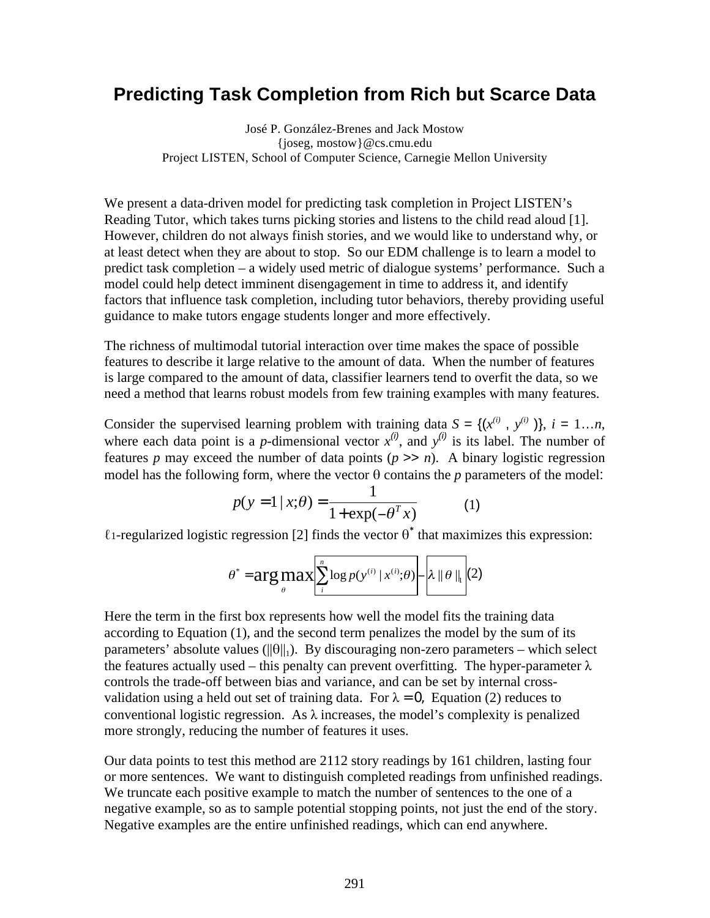## **Predicting Task Completion from Rich but Scarce Data**

José P. González-Brenes and Jack Mostow {joseg, mostow}@cs.cmu.edu Project LISTEN, School of Computer Science, Carnegie Mellon University

We present a data-driven model for predicting task completion in Project LISTEN's Reading Tutor, which takes turns picking stories and listens to the child read aloud [1]. However, children do not always finish stories, and we would like to understand why, or at least detect when they are about to stop. So our EDM challenge is to learn a model to predict task completion – a widely used metric of dialogue systems' performance. Such a model could help detect imminent disengagement in time to address it, and identify factors that influence task completion, including tutor behaviors, thereby providing useful guidance to make tutors engage students longer and more effectively.

The richness of multimodal tutorial interaction over time makes the space of possible features to describe it large relative to the amount of data. When the number of features is large compared to the amount of data, classifier learners tend to overfit the data, so we need a method that learns robust models from few training examples with many features.

Consider the supervised learning problem with training data  $S = \{(x^{(i)}, y^{(i)})\}, i = 1...n$ , where each data point is a *p*-dimensional vector  $x^{(i)}$ , and  $y^{(i)}$  is its label. The number of features *p* may exceed the number of data points  $(p \gg n)$ . A binary logistic regression model has the following form, where the vector θ contains the *p* parameters of the model:

$$
p(y = 1 | x; \theta) = \frac{1}{1 + \exp(-\theta^{T} x)}
$$
 (1)

 $\ell$ 1-regularized logistic regression [2] finds the vector  $\theta^*$  that maximizes this expression:

$$
\theta^* = \arg \max_{\theta} \left[ \sum_{i} \log p(y^{(i)} | x^{(i)}; \theta) - \lambda ||\theta||_1 \right](2)
$$

 $\frac{1}{2}$  are  $\frac{1}{2}$  and  $\frac{1}{2}$  and  $\frac{1}{2}$  are second complements in the second set  $\frac{1}{2}$  and such select Here the term in the first box represents how well the model fits the training data according to Equation (1), and the second term penalizes the model by the sum of its the features actually used – this penalty can prevent overfitting. The hyper-parameter  $\lambda$ controls the trade-off between bias and variance, and can be set by internal crossvalidation using a held out set of training data. For  $\lambda = 0$ , Equation (2) reduces to conventional logistic regression. As  $\lambda$  increases, the model's complexity is penalized more strongly, reducing the number of features it uses.

Our data points to test this method are 2112 story readings by 161 children, lasting four or more sentences. We want to distinguish completed readings from unfinished readings. We truncate each positive example to match the number of sentences to the one of a negative example, so as to sample potential stopping points, not just the end of the story. Negative examples are the entire unfinished readings, which can end anywhere.